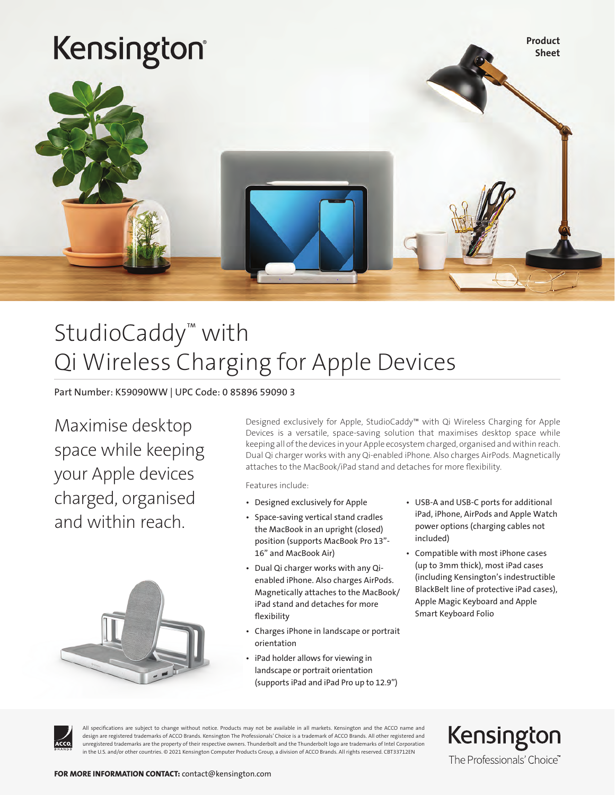

## StudioCaddy™ with Qi Wireless Charging for Apple Devices

Part Number: K59090WW | UPC Code: 0 85896 59090 3

Maximise desktop space while keeping your Apple devices charged, organised and within reach.



Designed exclusively for Apple, StudioCaddy™ with Qi Wireless Charging for Apple Devices is a versatile, space-saving solution that maximises desktop space while keeping all of the devices in your Apple ecosystem charged, organised and within reach. Dual Qi charger works with any Qi-enabled iPhone. Also charges AirPods. Magnetically attaches to the MacBook/iPad stand and detaches for more flexibility.

Features include:

- Designed exclusively for Apple
- Space-saving vertical stand cradles the MacBook in an upright (closed) position (supports MacBook Pro 13"- 16" and MacBook Air)
- Dual Qi charger works with any Qienabled iPhone. Also charges AirPods. Magnetically attaches to the MacBook/ iPad stand and detaches for more flexibility
- Charges iPhone in landscape or portrait orientation
- iPad holder allows for viewing in landscape or portrait orientation (supports iPad and iPad Pro up to 12.9")
- USB-A and USB-C ports for additional iPad, iPhone, AirPods and Apple Watch power options (charging cables not included)
- Compatible with most iPhone cases (up to 3mm thick), most iPad cases (including Kensington's indestructible BlackBelt line of protective iPad cases), Apple Magic Keyboard and Apple Smart Keyboard Folio

All specifications are subject to change without notice. Products may not be available in all markets. Kensington and the ACCO name and design are registered trademarks of ACCO Brands. Kensington The Professionals' Choice is a trademark of ACCO Brands. All other registered and unregistered trademarks are the property of their respective owners. Thunderbolt and the Thunderbolt logo are trademarks of Intel Corporation in the U.S. and/or other countries. © 2021 Kensington Computer Products Group, a division of ACCO Brands. All rights reserved. CBT33712EN

Kensington The Professionals' Choice"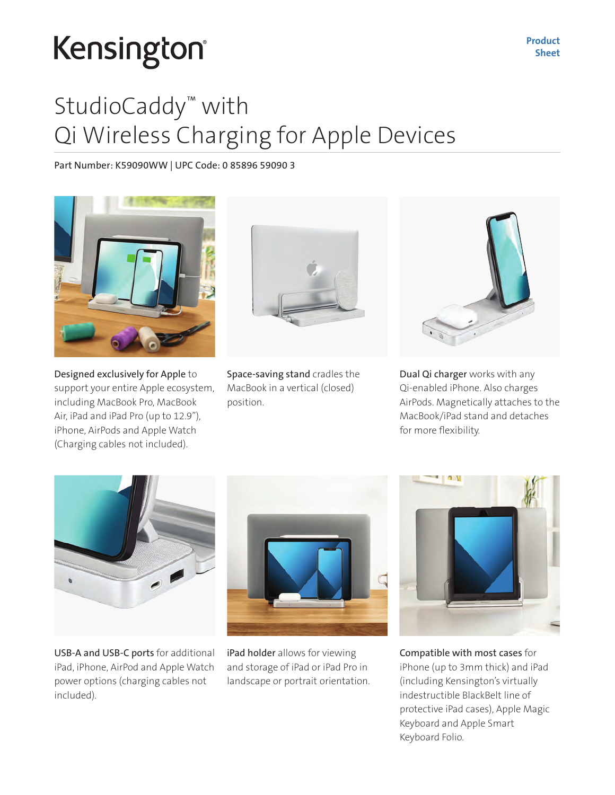## StudioCaddy™ with Qi Wireless Charging for Apple Devices

### Part Number: K59090WW | UPC Code: 0 85896 59090 3



Designed exclusively for Apple to support your entire Apple ecosystem, including MacBook Pro, MacBook Air, iPad and iPad Pro (up to 12.9"), iPhone, AirPods and Apple Watch (Charging cables not included).



Space-saving stand cradles the MacBook in a vertical (closed) position.



Dual Qi charger works with any Qi-enabled iPhone. Also charges AirPods. Magnetically attaches to the MacBook/iPad stand and detaches for more flexibility.



USB-A and USB-C ports for additional iPad, iPhone, AirPod and Apple Watch power options (charging cables not included).



iPad holder allows for viewing and storage of iPad or iPad Pro in landscape or portrait orientation.



Compatible with most cases for iPhone (up to 3mm thick) and iPad (including Kensington's virtually indestructible BlackBelt line of protective iPad cases), Apple Magic Keyboard and Apple Smart Keyboard Folio.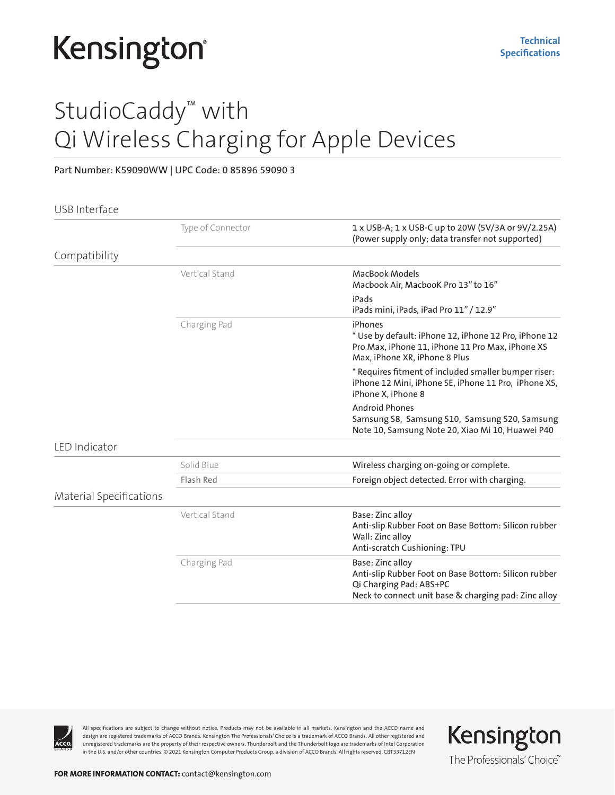## StudioCaddy™ with Qi Wireless Charging for Apple Devices

#### Part Number: K59090WW | UPC Code: 0 85896 59090 3

#### USB Interface

|                         | Type of Connector | 1 x USB-A; 1 x USB-C up to 20W (5V/3A or 9V/2.25A)<br>(Power supply only; data transfer not supported)                                                      |
|-------------------------|-------------------|-------------------------------------------------------------------------------------------------------------------------------------------------------------|
| Compatibility           |                   |                                                                                                                                                             |
|                         | Vertical Stand    | <b>MacBook Models</b><br>Macbook Air, MacbooK Pro 13" to 16"                                                                                                |
|                         |                   | iPads<br>iPads mini, iPads, iPad Pro 11" / 12.9"                                                                                                            |
|                         | Charging Pad      | iPhones<br>* Use by default: iPhone 12, iPhone 12 Pro, iPhone 12<br>Pro Max, iPhone 11, iPhone 11 Pro Max, iPhone XS<br>Max, iPhone XR, iPhone 8 Plus       |
|                         |                   | * Requires fitment of included smaller bumper riser:<br>iPhone 12 Mini, iPhone SE, iPhone 11 Pro, iPhone XS,<br>iPhone X, iPhone 8                          |
|                         |                   | <b>Android Phones</b><br>Samsung S8, Samsung S10, Samsung S20, Samsung<br>Note 10, Samsung Note 20, Xiao Mi 10, Huawei P40                                  |
| LED Indicator           |                   |                                                                                                                                                             |
|                         | Solid Blue        | Wireless charging on-going or complete.                                                                                                                     |
|                         | Flash Red         | Foreign object detected. Error with charging.                                                                                                               |
| Material Specifications |                   |                                                                                                                                                             |
|                         | Vertical Stand    | Base: Zinc alloy<br>Anti-slip Rubber Foot on Base Bottom: Silicon rubber<br>Wall: Zinc alloy<br>Anti-scratch Cushioning: TPU                                |
|                         | Charging Pad      | Base: Zinc alloy<br>Anti-slip Rubber Foot on Base Bottom: Silicon rubber<br>Qi Charging Pad: ABS+PC<br>Neck to connect unit base & charging pad: Zinc alloy |



All specifications are subject to change without notice. Products may not be available in all markets. Kensington and the ACCO name and design are registered trademarks of ACCO Brands. Kensington The Professionals' Choice is a trademark of ACCO Brands. All other registered and unregistered trademarks are the property of their respective owners. Thunderbolt and the Thunderbolt logo are trademarks of Intel Corporation in the U.S. and/or other countries. © 2021 Kensington Computer Products Group, a division of ACCO Brands. All rights reserved. CBT33712EN

Kensington The Professionals' Choice"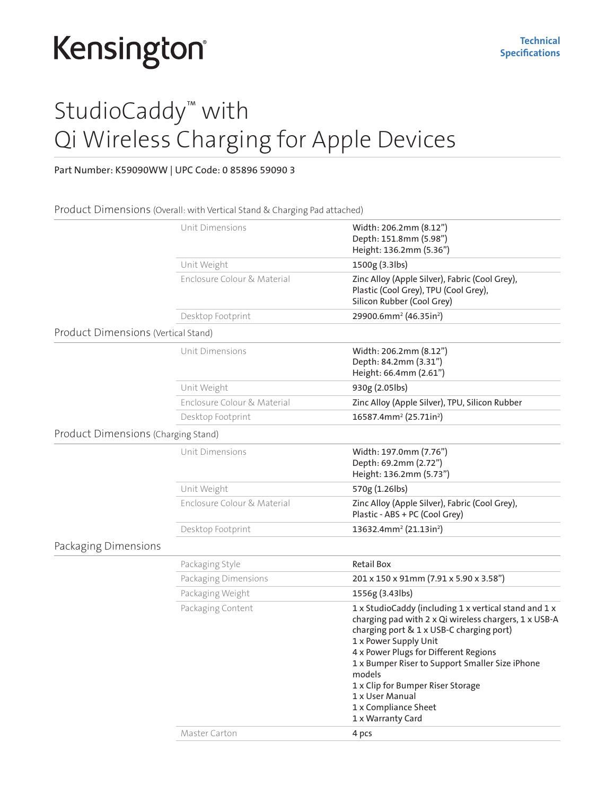## StudioCaddy™ with Qi Wireless Charging for Apple Devices

### Part Number: K59090WW | UPC Code: 0 85896 59090 3

#### Product Dimensions (Overall: with Vertical Stand & Charging Pad attached)

|                                     | Unit Dimensions             | Width: 206.2mm (8.12")<br>Depth: 151.8mm (5.98")<br>Height: 136.2mm (5.36")                                                                                                                                                                                                                                                                                                                    |
|-------------------------------------|-----------------------------|------------------------------------------------------------------------------------------------------------------------------------------------------------------------------------------------------------------------------------------------------------------------------------------------------------------------------------------------------------------------------------------------|
|                                     | Unit Weight                 | 1500g (3.3lbs)                                                                                                                                                                                                                                                                                                                                                                                 |
|                                     | Enclosure Colour & Material | Zinc Alloy (Apple Silver), Fabric (Cool Grey),<br>Plastic (Cool Grey), TPU (Cool Grey),<br>Silicon Rubber (Cool Grey)                                                                                                                                                                                                                                                                          |
|                                     | Desktop Footprint           | 29900.6mm <sup>2</sup> (46.35in <sup>2</sup> )                                                                                                                                                                                                                                                                                                                                                 |
| Product Dimensions (Vertical Stand) |                             |                                                                                                                                                                                                                                                                                                                                                                                                |
|                                     | Unit Dimensions             | Width: 206.2mm (8.12")<br>Depth: 84.2mm (3.31")<br>Height: 66.4mm (2.61")                                                                                                                                                                                                                                                                                                                      |
|                                     | Unit Weight                 | 930g (2.05lbs)                                                                                                                                                                                                                                                                                                                                                                                 |
|                                     | Enclosure Colour & Material | Zinc Alloy (Apple Silver), TPU, Silicon Rubber                                                                                                                                                                                                                                                                                                                                                 |
|                                     | Desktop Footprint           | $16587.4$ mm <sup>2</sup> (25.71in <sup>2</sup> )                                                                                                                                                                                                                                                                                                                                              |
| Product Dimensions (Charging Stand) |                             |                                                                                                                                                                                                                                                                                                                                                                                                |
|                                     | Unit Dimensions             | Width: 197.0mm (7.76")<br>Depth: 69.2mm (2.72")<br>Height: 136.2mm (5.73")                                                                                                                                                                                                                                                                                                                     |
|                                     | Unit Weight                 | 570g (1.26lbs)                                                                                                                                                                                                                                                                                                                                                                                 |
|                                     | Enclosure Colour & Material | Zinc Alloy (Apple Silver), Fabric (Cool Grey),<br>Plastic - ABS + PC (Cool Grey)                                                                                                                                                                                                                                                                                                               |
|                                     | Desktop Footprint           | 13632.4mm <sup>2</sup> (21.13in <sup>2</sup> )                                                                                                                                                                                                                                                                                                                                                 |
| Packaging Dimensions                |                             |                                                                                                                                                                                                                                                                                                                                                                                                |
|                                     | Packaging Style             | <b>Retail Box</b>                                                                                                                                                                                                                                                                                                                                                                              |
|                                     | Packaging Dimensions        | 201 x 150 x 91mm (7.91 x 5.90 x 3.58")                                                                                                                                                                                                                                                                                                                                                         |
|                                     | Packaging Weight            | 1556g (3.43lbs)                                                                                                                                                                                                                                                                                                                                                                                |
|                                     | Packaging Content           | 1 x StudioCaddy (including 1 x vertical stand and 1 x<br>charging pad with 2 x Qi wireless chargers, 1 x USB-A<br>charging port & 1 x USB-C charging port)<br>1 x Power Supply Unit<br>4 x Power Plugs for Different Regions<br>1 x Bumper Riser to Support Smaller Size iPhone<br>models<br>1 x Clip for Bumper Riser Storage<br>1 x User Manual<br>1 x Compliance Sheet<br>1 x Warranty Card |
|                                     | Master Carton               | 4 pcs                                                                                                                                                                                                                                                                                                                                                                                          |